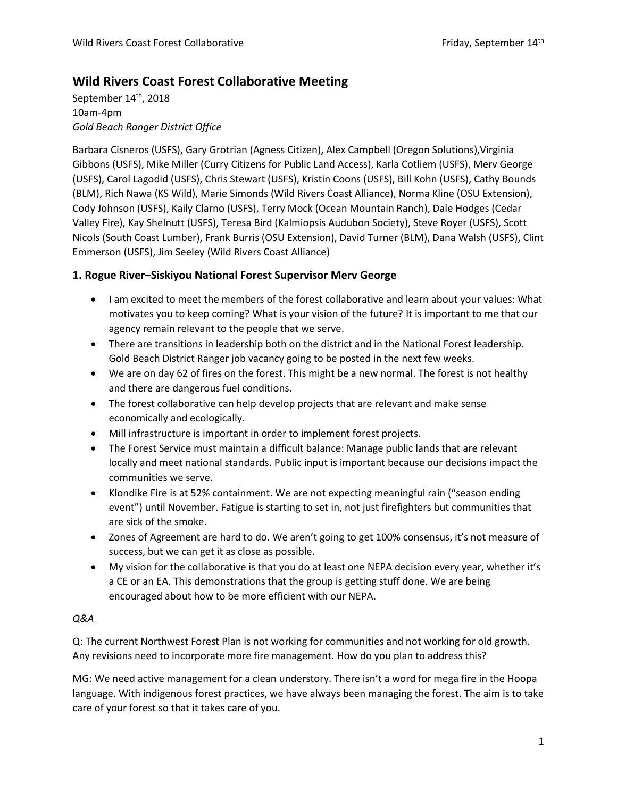# **Wild Rivers Coast Forest Collaborative Meeting**

September 14<sup>th</sup>, 2018 10am-4pm *Gold Beach Ranger District Office*

Barbara Cisneros (USFS), Gary Grotrian (Agness Citizen), Alex Campbell (Oregon Solutions),Virginia Gibbons (USFS), Mike Miller (Curry Citizens for Public Land Access), Karla Cotliem (USFS), Merv George (USFS), Carol Lagodid (USFS), Chris Stewart (USFS), Kristin Coons (USFS), Bill Kohn (USFS), Cathy Bounds (BLM), Rich Nawa (KS Wild), Marie Simonds (Wild Rivers Coast Alliance), Norma Kline (OSU Extension), Cody Johnson (USFS), Kaily Clarno (USFS), Terry Mock (Ocean Mountain Ranch), Dale Hodges (Cedar Valley Fire), Kay Shelnutt (USFS), Teresa Bird (Kalmiopsis Audubon Society), Steve Royer (USFS), Scott Nicols (South Coast Lumber), Frank Burris (OSU Extension), David Turner (BLM), Dana Walsh (USFS), Clint Emmerson (USFS), Jim Seeley (Wild Rivers Coast Alliance)

# **1. Rogue River–Siskiyou National Forest Supervisor Merv George**

- I am excited to meet the members of the forest collaborative and learn about your values: What motivates you to keep coming? What is your vision of the future? It is important to me that our agency remain relevant to the people that we serve.
- There are transitions in leadership both on the district and in the National Forest leadership. Gold Beach District Ranger job vacancy going to be posted in the next few weeks.
- We are on day 62 of fires on the forest. This might be a new normal. The forest is not healthy and there are dangerous fuel conditions.
- The forest collaborative can help develop projects that are relevant and make sense economically and ecologically.
- Mill infrastructure is important in order to implement forest projects.
- The Forest Service must maintain a difficult balance: Manage public lands that are relevant locally and meet national standards. Public input is important because our decisions impact the communities we serve.
- Klondike Fire is at 52% containment. We are not expecting meaningful rain ("season ending event") until November. Fatigue is starting to set in, not just firefighters but communities that are sick of the smoke.
- Zones of Agreement are hard to do. We aren't going to get 100% consensus, it's not measure of success, but we can get it as close as possible.
- My vision for the collaborative is that you do at least one NEPA decision every year, whether it's a CE or an EA. This demonstrations that the group is getting stuff done. We are being encouraged about how to be more efficient with our NEPA.

# *Q&A*

Q: The current Northwest Forest Plan is not working for communities and not working for old growth. Any revisions need to incorporate more fire management. How do you plan to address this?

MG: We need active management for a clean understory. There isn't a word for mega fire in the Hoopa language. With indigenous forest practices, we have always been managing the forest. The aim is to take care of your forest so that it takes care of you.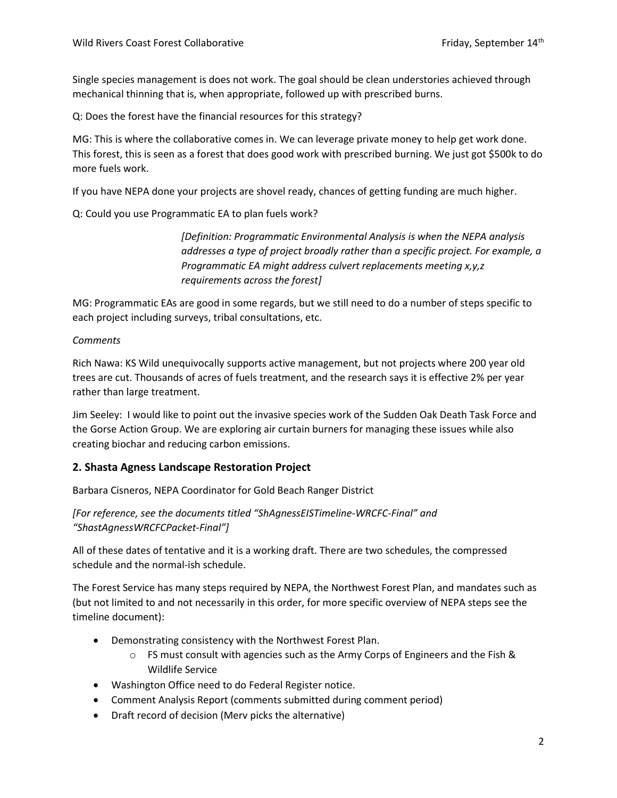Single species management is does not work. The goal should be clean understories achieved through mechanical thinning that is, when appropriate, followed up with prescribed burns.

Q: Does the forest have the financial resources for this strategy?

MG: This is where the collaborative comes in. We can leverage private money to help get work done. This forest, this is seen as a forest that does good work with prescribed burning. We just got \$500k to do more fuels work.

If you have NEPA done your projects are shovel ready, chances of getting funding are much higher.

Q: Could you use Programmatic EA to plan fuels work?

*[Definition: Programmatic Environmental Analysis is when the NEPA analysis addresses a type of project broadly rather than a specific project. For example, a Programmatic EA might address culvert replacements meeting x,y,z requirements across the forest]*

MG: Programmatic EAs are good in some regards, but we still need to do a number of steps specific to each project including surveys, tribal consultations, etc.

### *Comments*

Rich Nawa: KS Wild unequivocally supports active management, but not projects where 200 year old trees are cut. Thousands of acres of fuels treatment, and the research says it is effective 2% per year rather than large treatment.

Jim Seeley: I would like to point out the invasive species work of the Sudden Oak Death Task Force and the Gorse Action Group. We are exploring air curtain burners for managing these issues while also creating biochar and reducing carbon emissions.

# **2. Shasta Agness Landscape Restoration Project**

Barbara Cisneros, NEPA Coordinator for Gold Beach Ranger District

*[For reference, see the documents titled "ShAgnessEISTimeline-WRCFC-Final" and "ShastAgnessWRCFCPacket-Final"]*

All of these dates of tentative and it is a working draft. There are two schedules, the compressed schedule and the normal-ish schedule.

The Forest Service has many steps required by NEPA, the Northwest Forest Plan, and mandates such as (but not limited to and not necessarily in this order, for more specific overview of NEPA steps see the timeline document):

- Demonstrating consistency with the Northwest Forest Plan.
	- $\circ$  FS must consult with agencies such as the Army Corps of Engineers and the Fish & Wildlife Service
- Washington Office need to do Federal Register notice.
- Comment Analysis Report (comments submitted during comment period)
- Draft record of decision (Merv picks the alternative)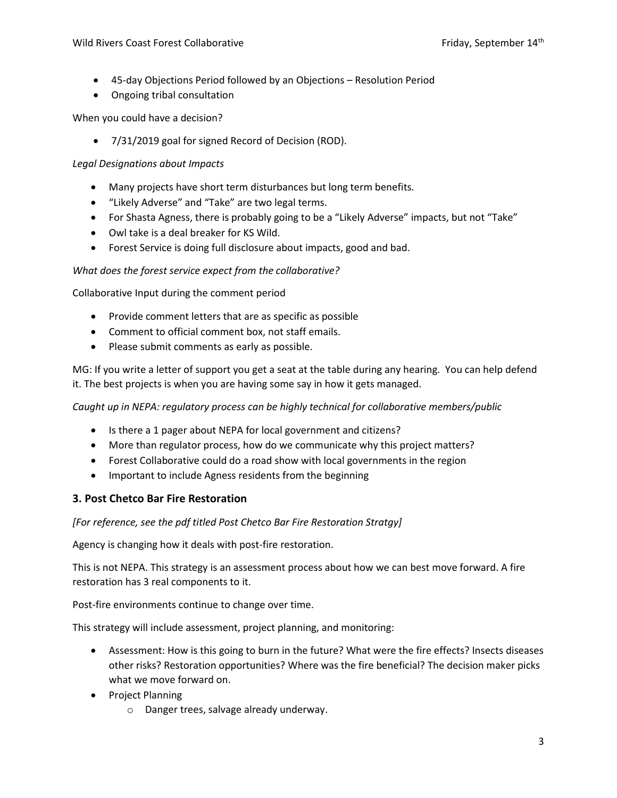- 45-day Objections Period followed by an Objections Resolution Period
- Ongoing tribal consultation

When you could have a decision?

7/31/2019 goal for signed Record of Decision (ROD).

### *Legal Designations about Impacts*

- Many projects have short term disturbances but long term benefits.
- "Likely Adverse" and "Take" are two legal terms.
- For Shasta Agness, there is probably going to be a "Likely Adverse" impacts, but not "Take"
- Owl take is a deal breaker for KS Wild.
- Forest Service is doing full disclosure about impacts, good and bad.

#### *What does the forest service expect from the collaborative?*

Collaborative Input during the comment period

- Provide comment letters that are as specific as possible
- Comment to official comment box, not staff emails.
- Please submit comments as early as possible.

MG: If you write a letter of support you get a seat at the table during any hearing. You can help defend it. The best projects is when you are having some say in how it gets managed.

*Caught up in NEPA: regulatory process can be highly technical for collaborative members/public*

- Is there a 1 pager about NEPA for local government and citizens?
- More than regulator process, how do we communicate why this project matters?
- Forest Collaborative could do a road show with local governments in the region
- Important to include Agness residents from the beginning

### **3. Post Chetco Bar Fire Restoration**

*[For reference, see the pdf titled Post Chetco Bar Fire Restoration Stratgy]*

Agency is changing how it deals with post-fire restoration.

This is not NEPA. This strategy is an assessment process about how we can best move forward. A fire restoration has 3 real components to it.

Post-fire environments continue to change over time.

This strategy will include assessment, project planning, and monitoring:

- Assessment: How is this going to burn in the future? What were the fire effects? Insects diseases other risks? Restoration opportunities? Where was the fire beneficial? The decision maker picks what we move forward on.
- Project Planning
	- o Danger trees, salvage already underway.